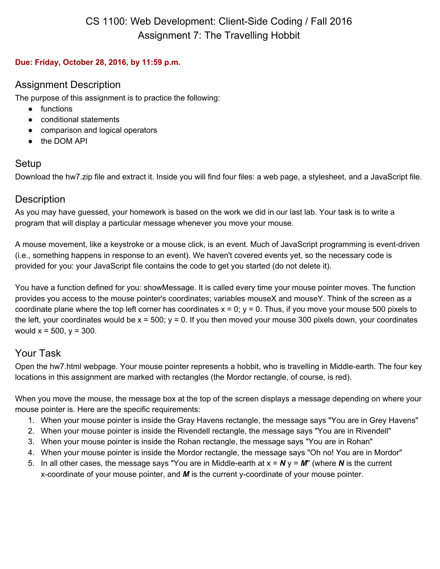#### **Due: Friday, October 28, 2016, by 11:59 p.m.**

#### Assignment Description

The purpose of this assignment is to practice the following:

- functions
- conditional statements
- comparison and logical operators
- the DOM API

## Setup

Download the hw7.zip file and extract it. Inside you will find four files: a web page, a stylesheet, and a JavaScript file.

#### **Description**

As you may have guessed, your homework is based on the work we did in our last lab. Your task is to write a program that will display a particular message whenever you move your mouse.

A mouse movement, like a keystroke or a mouse click, is an event. Much of JavaScript programming is event-driven (i.e., something happens in response to an event). We haven't covered events yet, so the necessary code is provided for you: your JavaScript file contains the code to get you started (do not delete it).

You have a function defined for you: showMessage. It is called every time your mouse pointer moves. The function provides you access to the mouse pointer's coordinates; variables mouseX and mouseY. Think of the screen as a coordinate plane where the top left corner has coordinates  $x = 0$ ;  $y = 0$ . Thus, if you move your mouse 500 pixels to the left, your coordinates would be  $x = 500$ ;  $y = 0$ . If you then moved your mouse 300 pixels down, your coordinates would  $x = 500$ ,  $y = 300$ .

## Your Task

Open the hw7.html webpage. Your mouse pointer represents a hobbit, who is travelling in Middle-earth. The four key locations in this assignment are marked with rectangles (the Mordor rectangle, of course, is red).

When you move the mouse, the message box at the top of the screen displays a message depending on where your mouse pointer is. Here are the specific requirements:

- 1. When your mouse pointer is inside the Gray Havens rectangle, the message says "You are in Grey Havens"
- 2. When your mouse pointer is inside the Rivendell rectangle, the message says "You are in Rivendell"
- 3. When your mouse pointer is inside the Rohan rectangle, the message says "You are in Rohan"
- 4. When your mouse pointer is inside the Mordor rectangle, the message says "Oh no! You are in Mordor"
- 5. In all other cases, the message says "You are in Middle-earth at  $x = N y = M$ " (where N is the current x-coordinate of your mouse pointer, and *M* is the current y-coordinate of your mouse pointer.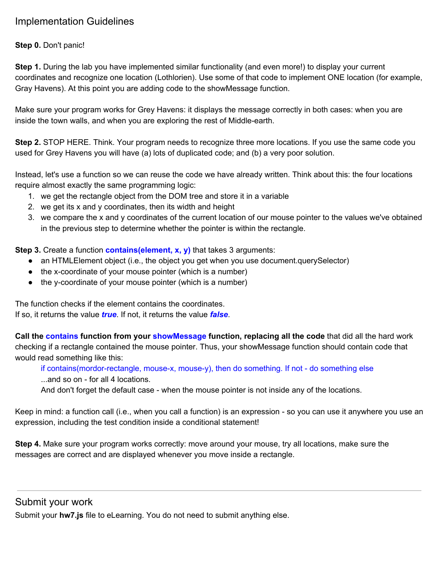## Implementation Guidelines

#### **Step 0.** Don't panic!

**Step 1.** During the lab you have implemented similar functionality (and even more!) to display your current coordinates and recognize one location (Lothlorien). Use some of that code to implement ONE location (for example, Gray Havens). At this point you are adding code to the showMessage function.

Make sure your program works for Grey Havens: it displays the message correctly in both cases: when you are inside the town walls, and when you are exploring the rest of Middle-earth.

**Step 2.** STOP HERE. Think. Your program needs to recognize three more locations. If you use the same code you used for Grey Havens you will have (a) lots of duplicated code; and (b) a very poor solution.

Instead, let's use a function so we can reuse the code we have already written. Think about this: the four locations require almost exactly the same programming logic:

- 1. we get the rectangle object from the DOM tree and store it in a variable
- 2. we get its x and y coordinates, then its width and height
- 3. we compare the x and y coordinates of the current location of our mouse pointer to the values we've obtained in the previous step to determine whether the pointer is within the rectangle.

**Step 3.** Create a function **contains(element, x, y)** that takes 3 arguments:

- an HTMLElement object (i.e., the object you get when you use document.querySelector)
- the x-coordinate of your mouse pointer (which is a number)
- the y-coordinate of your mouse pointer (which is a number)

The function checks if the element contains the coordinates. If so, it returns the value *true*. If not, it returns the value *false*.

**Call the contains function from your showMessage fu nction, replacing all the code** that did all the hard work checking if a rectangle contained the mouse pointer. Thus, your showMessage function should contain code that would read something like this:

if contains(mordor-rectangle, mouse-x, mouse-y), then do something. If not - do something else ...and so on - for all 4 locations.

And don't forget the default case - when the mouse pointer is not inside any of the locations.

Keep in mind: a function call (i.e., when you call a function) is an expression - so you can use it anywhere you use an expression, including the test condition inside a conditional statement!

**Step 4.** Make sure your program works correctly: move around your mouse, try all locations, make sure the messages are correct and are displayed whenever you move inside a rectangle.

Submit your work

Submit your **hw7.js** file to eLearning. You do not need to submit anything else.